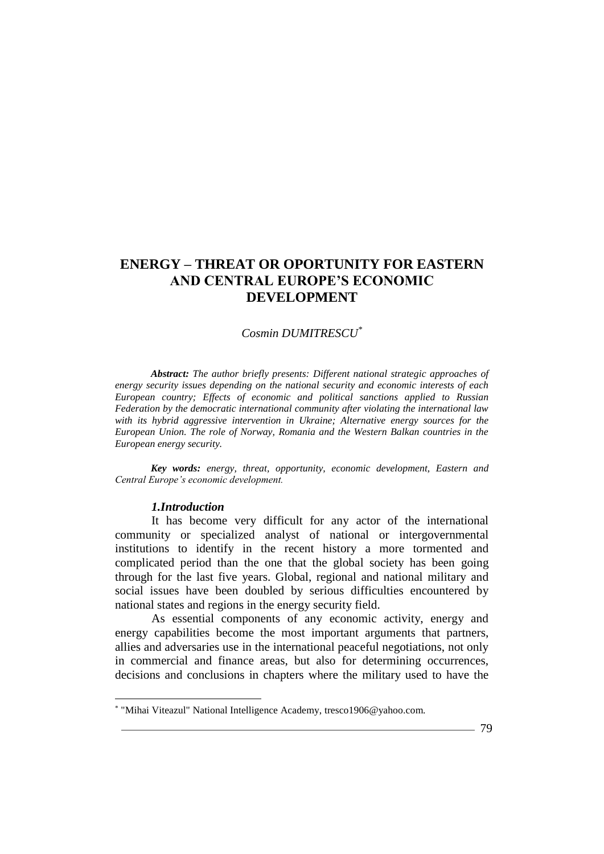### *Cosmin DUMITRESCU\**

*Abstract: The author briefly presents: Different national strategic approaches of energy security issues depending on the national security and economic interests of each European country; Effects of economic and political sanctions applied to Russian Federation by the democratic international community after violating the international law with its hybrid aggressive intervention in Ukraine; Alternative energy sources for the European Union. The role of Norway, Romania and the Western Balkan countries in the European energy security.*

*Key words: energy, threat, opportunity, economic development, Eastern and Central Europe's economic development.*

#### *1.Introduction*

 $\overline{a}$ 

It has become very difficult for any actor of the international community or specialized analyst of national or intergovernmental institutions to identify in the recent history a more tormented and complicated period than the one that the global society has been going through for the last five years. Global, regional and national military and social issues have been doubled by serious difficulties encountered by national states and regions in the energy security field.

As essential components of any economic activity, energy and energy capabilities become the most important arguments that partners, allies and adversaries use in the international peaceful negotiations, not only in commercial and finance areas, but also for determining occurrences, decisions and conclusions in chapters where the military used to have the

<sup>\*</sup> "Mihai Viteazul" National Intelligence Academy, tresco1906@yahoo.com.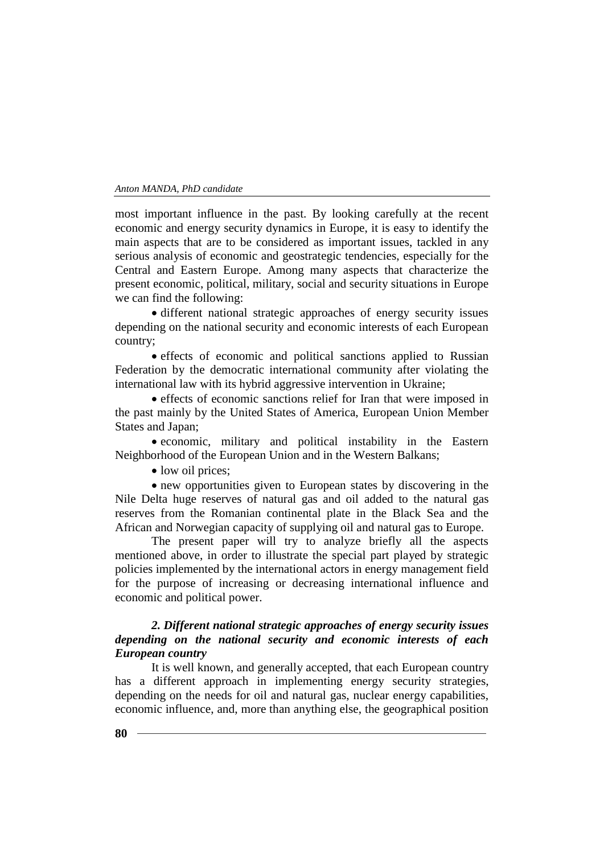most important influence in the past. By looking carefully at the recent economic and energy security dynamics in Europe, it is easy to identify the main aspects that are to be considered as important issues, tackled in any serious analysis of economic and geostrategic tendencies, especially for the Central and Eastern Europe. Among many aspects that characterize the present economic, political, military, social and security situations in Europe we can find the following:

 different national strategic approaches of energy security issues depending on the national security and economic interests of each European country;

 effects of economic and political sanctions applied to Russian Federation by the democratic international community after violating the international law with its hybrid aggressive intervention in Ukraine;

 effects of economic sanctions relief for Iran that were imposed in the past mainly by the United States of America, European Union Member States and Japan;

 economic, military and political instability in the Eastern Neighborhood of the European Union and in the Western Balkans;

• low oil prices;

 new opportunities given to European states by discovering in the Nile Delta huge reserves of natural gas and oil added to the natural gas reserves from the Romanian continental plate in the Black Sea and the African and Norwegian capacity of supplying oil and natural gas to Europe.

The present paper will try to analyze briefly all the aspects mentioned above, in order to illustrate the special part played by strategic policies implemented by the international actors in energy management field for the purpose of increasing or decreasing international influence and economic and political power.

# *2. Different national strategic approaches of energy security issues depending on the national security and economic interests of each European country*

It is well known, and generally accepted, that each European country has a different approach in implementing energy security strategies, depending on the needs for oil and natural gas, nuclear energy capabilities, economic influence, and, more than anything else, the geographical position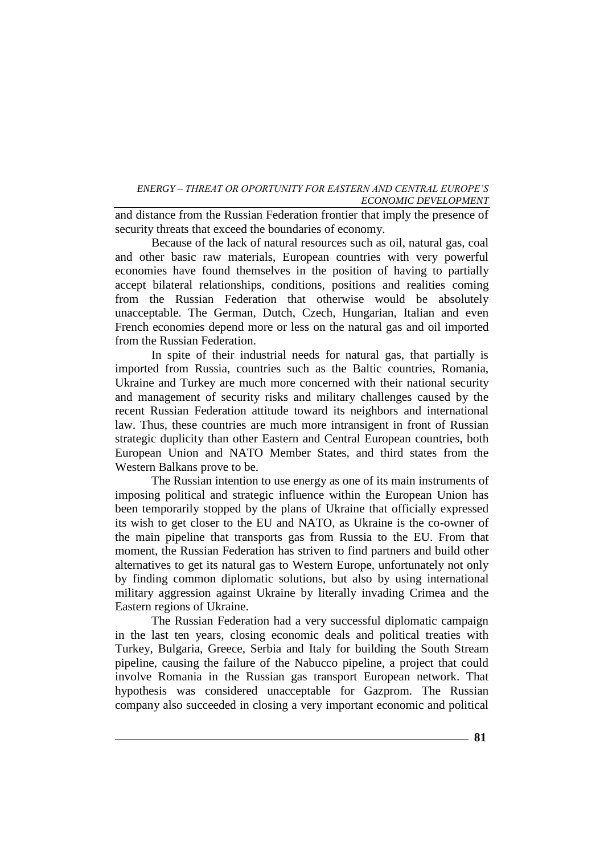and distance from the Russian Federation frontier that imply the presence of security threats that exceed the boundaries of economy.

Because of the lack of natural resources such as oil, natural gas, coal and other basic raw materials, European countries with very powerful economies have found themselves in the position of having to partially accept bilateral relationships, conditions, positions and realities coming from the Russian Federation that otherwise would be absolutely unacceptable. The German, Dutch, Czech, Hungarian, Italian and even French economies depend more or less on the natural gas and oil imported from the Russian Federation.

In spite of their industrial needs for natural gas, that partially is imported from Russia, countries such as the Baltic countries, Romania, Ukraine and Turkey are much more concerned with their national security and management of security risks and military challenges caused by the recent Russian Federation attitude toward its neighbors and international law. Thus, these countries are much more intransigent in front of Russian strategic duplicity than other Eastern and Central European countries, both European Union and NATO Member States, and third states from the Western Balkans prove to be.

The Russian intention to use energy as one of its main instruments of imposing political and strategic influence within the European Union has been temporarily stopped by the plans of Ukraine that officially expressed its wish to get closer to the EU and NATO, as Ukraine is the co-owner of the main pipeline that transports gas from Russia to the EU. From that moment, the Russian Federation has striven to find partners and build other alternatives to get its natural gas to Western Europe, unfortunately not only by finding common diplomatic solutions, but also by using international military aggression against Ukraine by literally invading Crimea and the Eastern regions of Ukraine.

The Russian Federation had a very successful diplomatic campaign in the last ten years, closing economic deals and political treaties with Turkey, Bulgaria, Greece, Serbia and Italy for building the South Stream pipeline, causing the failure of the Nabucco pipeline, a project that could involve Romania in the Russian gas transport European network. That hypothesis was considered unacceptable for Gazprom. The Russian company also succeeded in closing a very important economic and political

 $-81$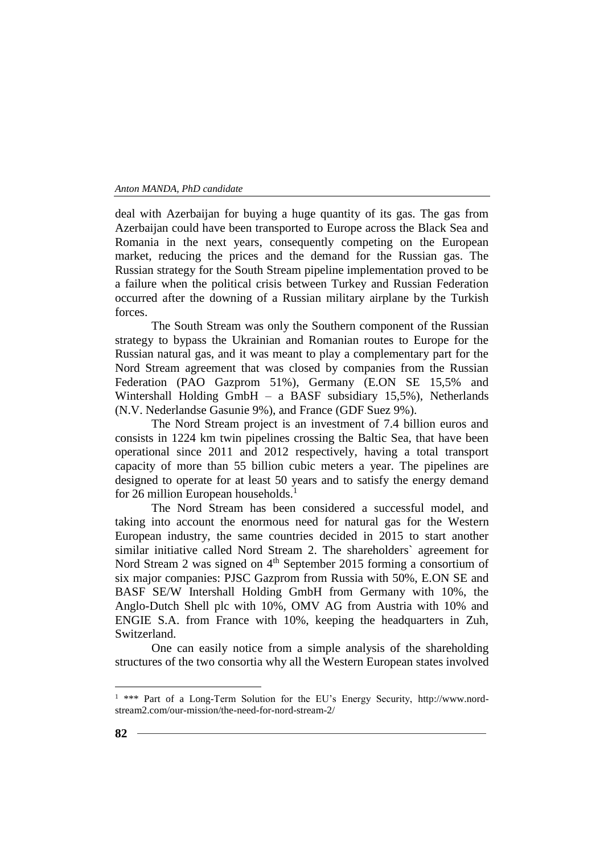deal with Azerbaijan for buying a huge quantity of its gas. The gas from Azerbaijan could have been transported to Europe across the Black Sea and Romania in the next years, consequently competing on the European market, reducing the prices and the demand for the Russian gas. The Russian strategy for the South Stream pipeline implementation proved to be a failure when the political crisis between Turkey and Russian Federation occurred after the downing of a Russian military airplane by the Turkish forces.

The South Stream was only the Southern component of the Russian strategy to bypass the Ukrainian and Romanian routes to Europe for the Russian natural gas, and it was meant to play a complementary part for the Nord Stream agreement that was closed by companies from the Russian Federation (PAO Gazprom 51%), Germany (E.ON SE 15,5% and Wintershall Holding GmbH – a BASF subsidiary 15,5%), Netherlands (N.V. Nederlandse Gasunie 9%), and France (GDF Suez 9%).

The Nord Stream project is an investment of 7.4 billion euros and consists in 1224 km twin pipelines crossing the Baltic Sea, that have been operational since 2011 and 2012 respectively, having a total transport capacity of more than 55 billion cubic meters a year. The pipelines are designed to operate for at least 50 years and to satisfy the energy demand for 26 million European households.<sup>1</sup>

The Nord Stream has been considered a successful model, and taking into account the enormous need for natural gas for the Western European industry, the same countries decided in 2015 to start another similar initiative called Nord Stream 2. The shareholders` agreement for Nord Stream 2 was signed on  $4<sup>th</sup>$  September 2015 forming a consortium of six major companies: PJSC Gazprom from Russia with 50%, E.ON SE and BASF SE/W Intershall Holding GmbH from Germany with 10%, the Anglo-Dutch Shell plc with 10%, OMV AG from Austria with 10% and ENGIE S.A. from France with 10%, keeping the headquarters in Zuh, Switzerland.

One can easily notice from a simple analysis of the shareholding structures of the two consortia why all the Western European states involved

 $\overline{a}$ 

<sup>&</sup>lt;sup>1</sup> \*\*\* Part of a Long-Term Solution for the EU's Energy Security, http://www.nordstream2.com/our-mission/the-need-for-nord-stream-2/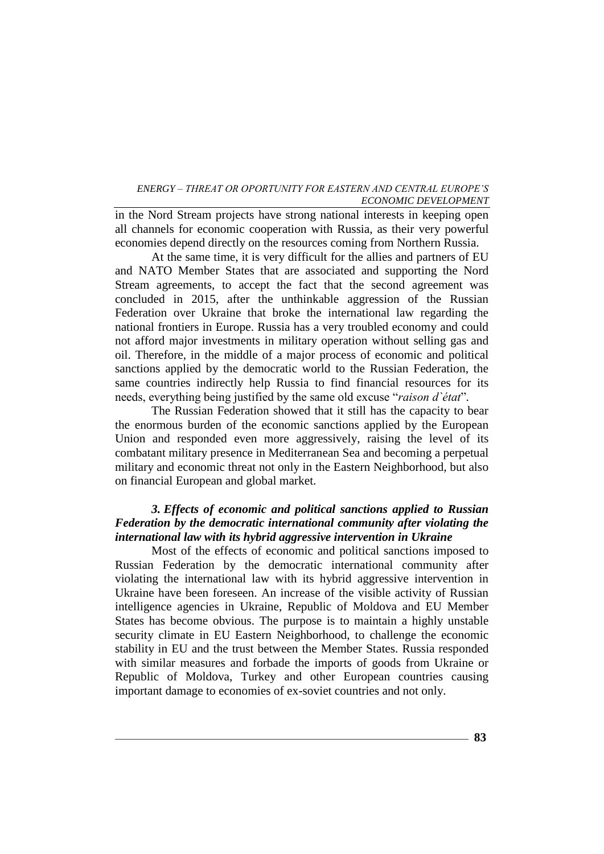in the Nord Stream projects have strong national interests in keeping open all channels for economic cooperation with Russia, as their very powerful economies depend directly on the resources coming from Northern Russia.

At the same time, it is very difficult for the allies and partners of EU and NATO Member States that are associated and supporting the Nord Stream agreements, to accept the fact that the second agreement was concluded in 2015, after the unthinkable aggression of the Russian Federation over Ukraine that broke the international law regarding the national frontiers in Europe. Russia has a very troubled economy and could not afford major investments in military operation without selling gas and oil. Therefore, in the middle of a major process of economic and political sanctions applied by the democratic world to the Russian Federation, the same countries indirectly help Russia to find financial resources for its needs, everything being justified by the same old excuse "*raison d`état*"*.*

The Russian Federation showed that it still has the capacity to bear the enormous burden of the economic sanctions applied by the European Union and responded even more aggressively, raising the level of its combatant military presence in Mediterranean Sea and becoming a perpetual military and economic threat not only in the Eastern Neighborhood, but also on financial European and global market.

# *3. Effects of economic and political sanctions applied to Russian Federation by the democratic international community after violating the international law with its hybrid aggressive intervention in Ukraine*

Most of the effects of economic and political sanctions imposed to Russian Federation by the democratic international community after violating the international law with its hybrid aggressive intervention in Ukraine have been foreseen. An increase of the visible activity of Russian intelligence agencies in Ukraine, Republic of Moldova and EU Member States has become obvious. The purpose is to maintain a highly unstable security climate in EU Eastern Neighborhood, to challenge the economic stability in EU and the trust between the Member States. Russia responded with similar measures and forbade the imports of goods from Ukraine or Republic of Moldova, Turkey and other European countries causing important damage to economies of ex-soviet countries and not only.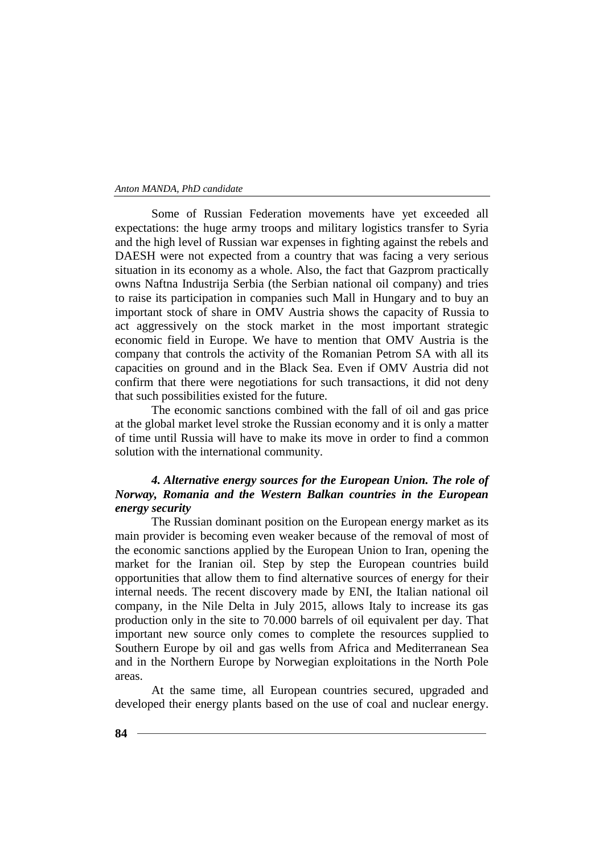Some of Russian Federation movements have yet exceeded all expectations: the huge army troops and military logistics transfer to Syria and the high level of Russian war expenses in fighting against the rebels and DAESH were not expected from a country that was facing a very serious situation in its economy as a whole. Also, the fact that Gazprom practically owns Naftna Industrija Serbia (the Serbian national oil company) and tries to raise its participation in companies such Mall in Hungary and to buy an important stock of share in OMV Austria shows the capacity of Russia to act aggressively on the stock market in the most important strategic economic field in Europe. We have to mention that OMV Austria is the company that controls the activity of the Romanian Petrom SA with all its capacities on ground and in the Black Sea. Even if OMV Austria did not confirm that there were negotiations for such transactions, it did not deny that such possibilities existed for the future.

The economic sanctions combined with the fall of oil and gas price at the global market level stroke the Russian economy and it is only a matter of time until Russia will have to make its move in order to find a common solution with the international community.

# *4. Alternative energy sources for the European Union. The role of Norway, Romania and the Western Balkan countries in the European energy security*

The Russian dominant position on the European energy market as its main provider is becoming even weaker because of the removal of most of the economic sanctions applied by the European Union to Iran, opening the market for the Iranian oil. Step by step the European countries build opportunities that allow them to find alternative sources of energy for their internal needs. The recent discovery made by ENI, the Italian national oil company, in the Nile Delta in July 2015, allows Italy to increase its gas production only in the site to 70.000 barrels of oil equivalent per day. That important new source only comes to complete the resources supplied to Southern Europe by oil and gas wells from Africa and Mediterranean Sea and in the Northern Europe by Norwegian exploitations in the North Pole areas.

At the same time, all European countries secured, upgraded and developed their energy plants based on the use of coal and nuclear energy.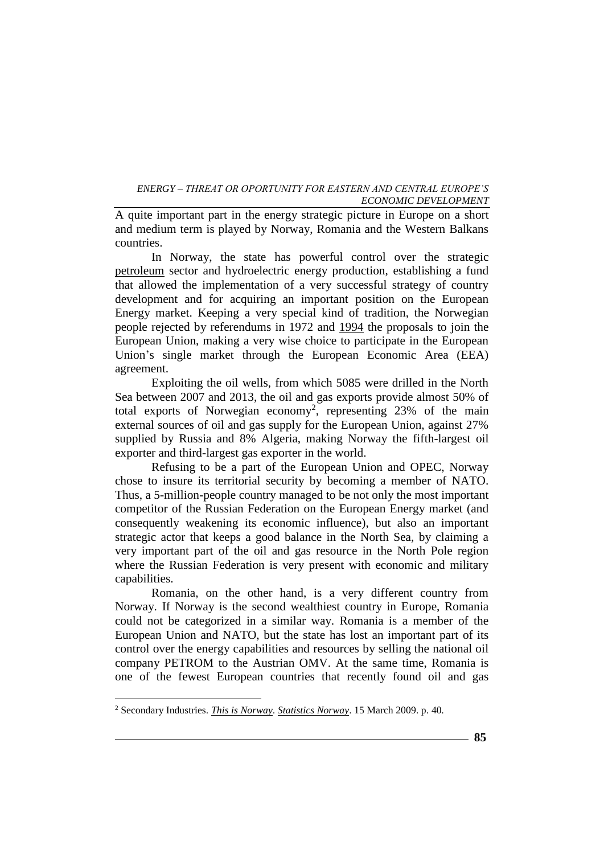A quite important part in the energy strategic picture in Europe on a short and medium term is played by Norway, Romania and the Western Balkans countries.

In Norway, the state has powerful control over the strategic [petroleum](https://en.wikipedia.org/wiki/Petroleum) sector and hydroelectric energy production, establishing a fund that allowed the implementation of a very successful strategy of country development and for acquiring an important position on the European Energy market. Keeping a very special kind of tradition, the Norwegian people rejected by referendums in 1972 and [1994](https://en.wikipedia.org/wiki/Norwegian_European_Union_membership_referendum,_1994) the proposals to join the European Union, making a very wise choice to participate in the European Union's single market through the European Economic Area (EEA) agreement.

Exploiting the oil wells, from which 5085 were drilled in the North Sea between 2007 and 2013, the oil and gas exports provide almost 50% of total exports of Norwegian economy<sup>2</sup>, representing  $23\%$  of the main external sources of oil and gas supply for the European Union, against 27% supplied by Russia and 8% Algeria, making Norway the fifth-largest oil exporter and third-largest gas exporter in the world.

Refusing to be a part of the European Union and OPEC, Norway chose to insure its territorial security by becoming a member of NATO. Thus, a 5-million-people country managed to be not only the most important competitor of the Russian Federation on the European Energy market (and consequently weakening its economic influence), but also an important strategic actor that keeps a good balance in the North Sea, by claiming a very important part of the oil and gas resource in the North Pole region where the Russian Federation is very present with economic and military capabilities.

Romania, on the other hand, is a very different country from Norway. If Norway is the second wealthiest country in Europe, Romania could not be categorized in a similar way. Romania is a member of the European Union and NATO, but the state has lost an important part of its control over the energy capabilities and resources by selling the national oil company PETROM to the Austrian OMV. At the same time, Romania is one of the fewest European countries that recently found oil and gas

 $\overline{a}$ 

<sup>2</sup> Secondary Industries. *[This is Norway](http://www.ssb.no/en/befolkning/artikler-og-publikasjoner/this-is-norway/)*. *[Statistics Norway](https://en.wikipedia.org/wiki/Statistics_Norway)*. 15 March 2009. p. 40*.*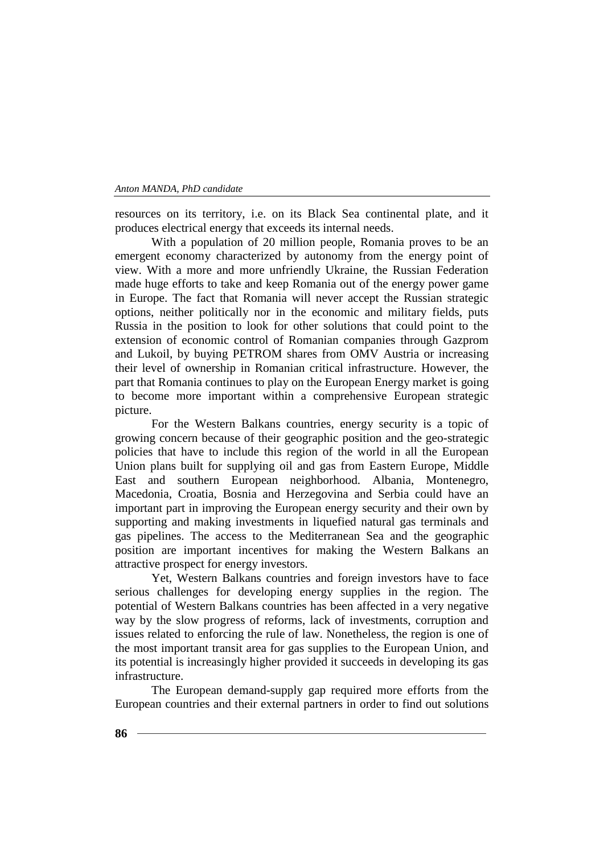resources on its territory, i.e. on its Black Sea continental plate, and it produces electrical energy that exceeds its internal needs.

With a population of 20 million people, Romania proves to be an emergent economy characterized by autonomy from the energy point of view. With a more and more unfriendly Ukraine, the Russian Federation made huge efforts to take and keep Romania out of the energy power game in Europe. The fact that Romania will never accept the Russian strategic options, neither politically nor in the economic and military fields, puts Russia in the position to look for other solutions that could point to the extension of economic control of Romanian companies through Gazprom and Lukoil, by buying PETROM shares from OMV Austria or increasing their level of ownership in Romanian critical infrastructure. However, the part that Romania continues to play on the European Energy market is going to become more important within a comprehensive European strategic picture.

For the Western Balkans countries, energy security is a topic of growing concern because of their geographic position and the geo-strategic policies that have to include this region of the world in all the European Union plans built for supplying oil and gas from Eastern Europe, Middle East and southern European neighborhood. Albania, Montenegro, Macedonia, Croatia, Bosnia and Herzegovina and Serbia could have an important part in improving the European energy security and their own by supporting and making investments in liquefied natural gas terminals and gas pipelines. The access to the Mediterranean Sea and the geographic position are important incentives for making the Western Balkans an attractive prospect for energy investors.

Yet, Western Balkans countries and foreign investors have to face serious challenges for developing energy supplies in the region. The potential of Western Balkans countries has been affected in a very negative way by the slow progress of reforms, lack of investments, corruption and issues related to enforcing the rule of law. Nonetheless, the region is one of the most important transit area for gas supplies to the European Union, and its potential is increasingly higher provided it succeeds in developing its gas infrastructure.

The European demand-supply gap required more efforts from the European countries and their external partners in order to find out solutions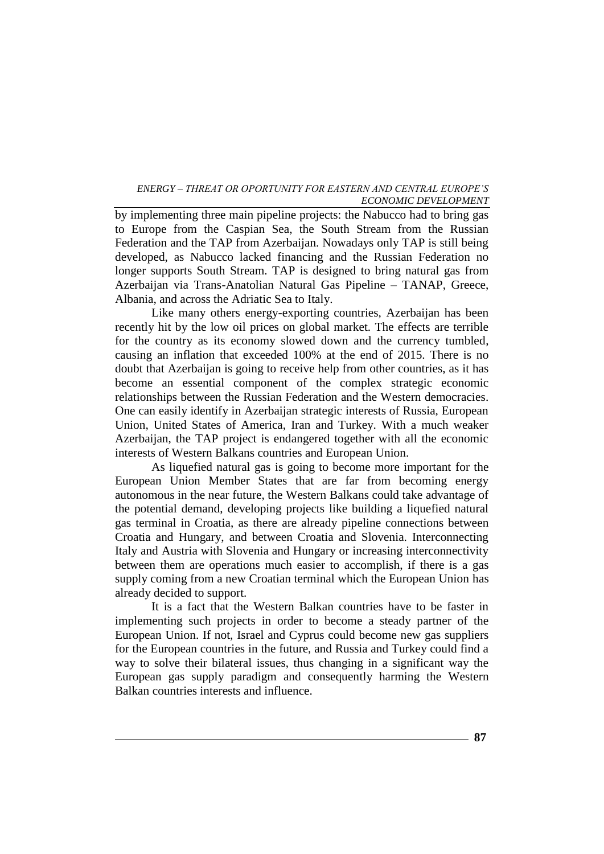by implementing three main pipeline projects: the Nabucco had to bring gas to Europe from the Caspian Sea, the South Stream from the Russian Federation and the TAP from Azerbaijan. Nowadays only TAP is still being developed, as Nabucco lacked financing and the Russian Federation no longer supports South Stream. TAP is designed to bring natural gas from Azerbaijan via Trans-Anatolian Natural Gas Pipeline – TANAP, Greece, Albania, and across the Adriatic Sea to Italy.

Like many others energy-exporting countries, Azerbaijan has been recently hit by the low oil prices on global market. The effects are terrible for the country as its economy slowed down and the currency tumbled, causing an inflation that exceeded 100% at the end of 2015. There is no doubt that Azerbaijan is going to receive help from other countries, as it has become an essential component of the complex strategic economic relationships between the Russian Federation and the Western democracies. One can easily identify in Azerbaijan strategic interests of Russia, European Union, United States of America, Iran and Turkey. With a much weaker Azerbaijan, the TAP project is endangered together with all the economic interests of Western Balkans countries and European Union.

As liquefied natural gas is going to become more important for the European Union Member States that are far from becoming energy autonomous in the near future, the Western Balkans could take advantage of the potential demand, developing projects like building a liquefied natural gas terminal in Croatia, as there are already pipeline connections between Croatia and Hungary, and between Croatia and Slovenia. Interconnecting Italy and Austria with Slovenia and Hungary or increasing interconnectivity between them are operations much easier to accomplish, if there is a gas supply coming from a new Croatian terminal which the European Union has already decided to support.

It is a fact that the Western Balkan countries have to be faster in implementing such projects in order to become a steady partner of the European Union. If not, Israel and Cyprus could become new gas suppliers for the European countries in the future, and Russia and Turkey could find a way to solve their bilateral issues, thus changing in a significant way the European gas supply paradigm and consequently harming the Western Balkan countries interests and influence.